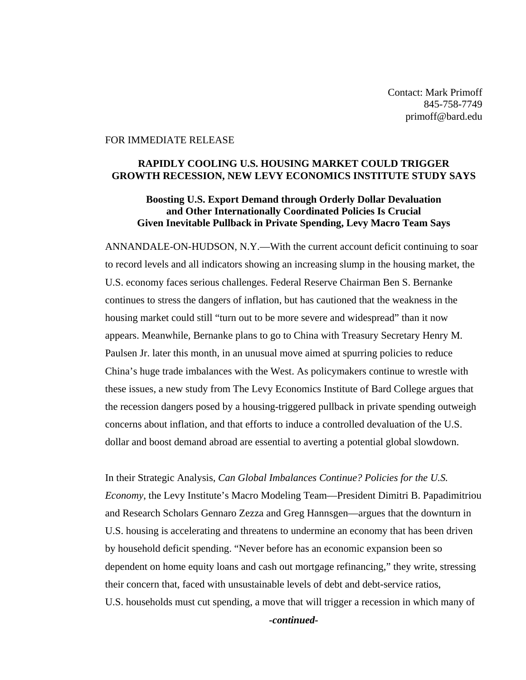Contact: Mark Primoff 845-758-7749 primoff@bard.edu

## FOR IMMEDIATE RELEASE

## **RAPIDLY COOLING U.S. HOUSING MARKET COULD TRIGGER GROWTH RECESSION, NEW LEVY ECONOMICS INSTITUTE STUDY SAYS**

## **Boosting U.S. Export Demand through Orderly Dollar Devaluation and Other Internationally Coordinated Policies Is Crucial Given Inevitable Pullback in Private Spending, Levy Macro Team Says**

ANNANDALE-ON-HUDSON, N.Y.—With the current account deficit continuing to soar to record levels and all indicators showing an increasing slump in the housing market, the U.S. economy faces serious challenges. Federal Reserve Chairman Ben S. Bernanke continues to stress the dangers of inflation, but has cautioned that the weakness in the housing market could still "turn out to be more severe and widespread" than it now appears. Meanwhile, Bernanke plans to go to China with Treasury Secretary Henry M. Paulsen Jr. later this month, in an unusual move aimed at spurring policies to reduce China's huge trade imbalances with the West. As policymakers continue to wrestle with these issues, a new study from The Levy Economics Institute of Bard College argues that the recession dangers posed by a housing-triggered pullback in private spending outweigh concerns about inflation, and that efforts to induce a controlled devaluation of the U.S. dollar and boost demand abroad are essential to averting a potential global slowdown.

In their Strategic Analysis, *Can Global Imbalances Continue? Policies for the U.S. Economy*, the Levy Institute's Macro Modeling Team—President Dimitri B. Papadimitriou and Research Scholars Gennaro Zezza and Greg Hannsgen—argues that the downturn in U.S. housing is accelerating and threatens to undermine an economy that has been driven by household deficit spending. "Never before has an economic expansion been so dependent on home equity loans and cash out mortgage refinancing," they write, stressing their concern that, faced with unsustainable levels of debt and debt-service ratios, U.S. households must cut spending, a move that will trigger a recession in which many of

*-continued-*